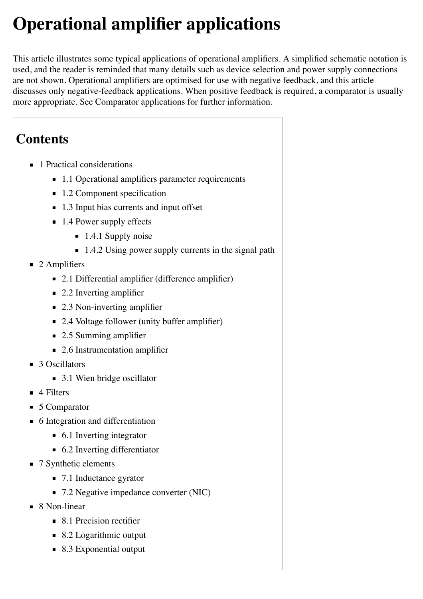# **Operational amplifier applications**

This article illustrates some typical applications of [operational amplifiers.](http://en.wikipedia.org/wiki/Operational_amplifier) A simplified schematic notation is used, and the reader is reminded that many details such as device selection and power supply connections are not shown. Operational amplifiers are optimised for use with negative feedback, and this article discusses only negative-feedback applications. When positive feedback is required, a [comparator](http://en.wikipedia.org/wiki/Comparator) is usually more appropriate. See [Comparator applications](http://en.wikipedia.org/wiki/Comparator_applications) for further information.

# **Contents**

- 1 [Practical considerations](http://en.wikipedia.org/wiki/Operational_amplifier_applications#Practical_considerations)
	- 1.1 [Operational amplifiers parameter requirements](http://en.wikipedia.org/wiki/Operational_amplifier_applications#Operational_amplifiers_parameter_requirements)
	- $\blacksquare$  1.2 [Component specification](http://en.wikipedia.org/wiki/Operational_amplifier_applications#Component_specification)
	- 1.3 [Input bias currents and input offset](http://en.wikipedia.org/wiki/Operational_amplifier_applications#Input_bias_currents_and_input_offset)
	- $\blacksquare$  1.4 [Power supply effects](http://en.wikipedia.org/wiki/Operational_amplifier_applications#Power_supply_effects)
		- $\blacksquare$  1.4.1 [Supply noise](http://en.wikipedia.org/wiki/Operational_amplifier_applications#Supply_noise)
		- $\blacksquare$  1.4.2 [Using power supply currents in the signal path](http://en.wikipedia.org/wiki/Operational_amplifier_applications#Using_power_supply_currents_in_the_signal_path)
- $\blacksquare$  2 [Amplifiers](http://en.wikipedia.org/wiki/Operational_amplifier_applications#Amplifiers)
	- 2.1 [Differential amplifier \(difference amplifier\)](http://en.wikipedia.org/wiki/Operational_amplifier_applications#Differential_amplifier_.28difference_amplifier.29)
	- 2.2 [Inverting amplifier](http://en.wikipedia.org/wiki/Operational_amplifier_applications#Inverting_amplifier)
	- 2.3 [Non-inverting amplifier](http://en.wikipedia.org/wiki/Operational_amplifier_applications#Non-inverting_amplifier)
	- 2.4 [Voltage follower \(unity buffer amplifier\)](http://en.wikipedia.org/wiki/Operational_amplifier_applications#Voltage_follower_.28unity_buffer_amplifier.29)
	- 2.5 [Summing amplifier](http://en.wikipedia.org/wiki/Operational_amplifier_applications#Summing_amplifier)
	- 2.6 [Instrumentation amplifier](http://en.wikipedia.org/wiki/Operational_amplifier_applications#Instrumentation_amplifier)
- 3 [Oscillators](http://en.wikipedia.org/wiki/Operational_amplifier_applications#Oscillators)
	- 3.1 [Wien bridge oscillator](http://en.wikipedia.org/wiki/Operational_amplifier_applications#Wien_bridge_oscillator)
- $\blacksquare$  4 [Filters](http://en.wikipedia.org/wiki/Operational_amplifier_applications#Filters)
- 5 [Comparator](http://en.wikipedia.org/wiki/Operational_amplifier_applications#Comparator)
- 6 [Integration and differentiation](http://en.wikipedia.org/wiki/Operational_amplifier_applications#Integration_and_differentiation)
	- 6.1 [Inverting integrator](http://en.wikipedia.org/wiki/Operational_amplifier_applications#Inverting_integrator)
	- 6.2 [Inverting differentiator](http://en.wikipedia.org/wiki/Operational_amplifier_applications#Inverting_differentiator)
- 7 [Synthetic elements](http://en.wikipedia.org/wiki/Operational_amplifier_applications#Synthetic_elements)
	- 7.1 [Inductance gyrator](http://en.wikipedia.org/wiki/Operational_amplifier_applications#Inductance_gyrator)
	- 7.2 [Negative impedance converter \(NIC\)](http://en.wikipedia.org/wiki/Operational_amplifier_applications#Negative_impedance_converter_.28NIC.29)
- 8 [Non-linear](http://en.wikipedia.org/wiki/Operational_amplifier_applications#Non-linear)
	- 8.1 [Precision rectifier](http://en.wikipedia.org/wiki/Operational_amplifier_applications#Precision_rectifier)
	- 8.2 [Logarithmic output](http://en.wikipedia.org/wiki/Operational_amplifier_applications#Logarithmic_output)
	- 8.3 [Exponential output](http://en.wikipedia.org/wiki/Operational_amplifier_applications#Exponential_output)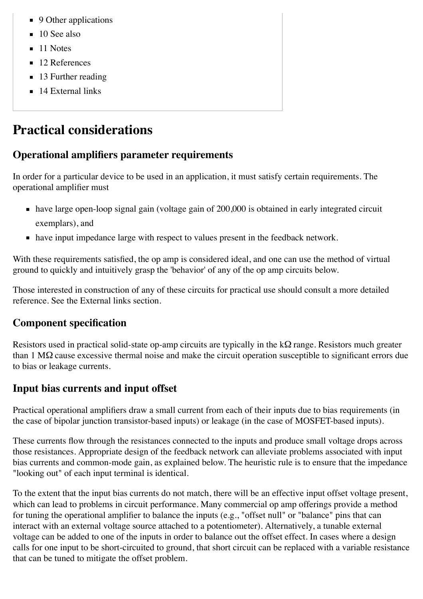- 9 [Other applications](http://en.wikipedia.org/wiki/Operational_amplifier_applications#Other_applications)
- $\blacksquare$  10 [See also](http://en.wikipedia.org/wiki/Operational_amplifier_applications#See_also)
- $\blacksquare$  11 [Notes](http://en.wikipedia.org/wiki/Operational_amplifier_applications#Notes)
- 12 [References](http://en.wikipedia.org/wiki/Operational_amplifier_applications#References)
- 13 [Further reading](http://en.wikipedia.org/wiki/Operational_amplifier_applications#Further_reading)
- $\blacksquare$  14 [External links](http://en.wikipedia.org/wiki/Operational_amplifier_applications#External_links)

# **Practical considerations**

# **Operational amplifiers parameter requirements**

In order for a particular device to be used in an application, it must satisfy certain requirements. The operational amplifier must

- have large open-loop signal gain (voltage gain of 200,000 is obtained in early integrated circuit exemplars), and
- have input impedance large with respect to values present in the feedback network.

[With these requirements satisfied, the op amp is considered i](http://en.wikipedia.org/wiki/Virtual_ground)[deal](http://en.wikipedia.org/wiki/Operational_amplifier#Ideal_op-amps)[, and one can use the method of virtual](http://en.wikipedia.org/wiki/Virtual_ground) ground to quickly and intuitively grasp the 'behavior' of any of the op amp circuits below.

Those interested in construction of any of these circuits for practical use should consult a more detailed reference. See the [External links](http://en.wikipedia.org/wiki/Operational_amplifier_applications#External_links) section.

# **Component specification**

Resistors used in practical solid-state op-amp circuits are typically in the kΩ range. Resistors much greater than 1 MΩ cause excessive [thermal noise](http://en.wikipedia.org/wiki/Thermal_noise) and make the circuit operation susceptible to significant errors due to bias or leakage currents.

# **Input bias currents and input offset**

Practical operational amplifiers draw a small current from each of their inputs due to bias requirements (in the case of bipolar junction transistor-based inputs) or leakage (in the case of MOSFET-based inputs).

These currents flow through the resistances connected to the inputs and produce small voltage drops across those resistances. Appropriate design of the feedback network can alleviate problems associated with input bias currents and common-mode gain, as explained below. The heuristic rule is to ensure that the impedance "looking out" of each input terminal is identical.

To the extent that the input bias currents do not match, there will be an effective [input offset voltage](http://en.wikipedia.org/wiki/Input_offset_voltage) present, which can lead to problems in circuit performance. Many commercial op amp offerings provide a method for tuning the operational amplifier to balance the inputs (e.g., "offset null" or "balance" pins that can interact with an external voltage source attached to a potentiometer). Alternatively, a tunable external voltage can be added to one of the inputs in order to balance out the offset effect. In cases where a design calls for one input to be short-circuited to ground, that short circuit can be replaced with a variable resistance that can be tuned to mitigate the offset problem.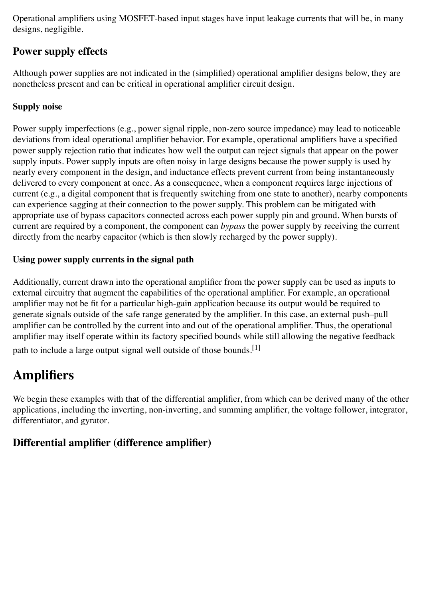Operational amplifiers using [MOSFET-](http://en.wikipedia.org/wiki/MOSFET)based input stages have input leakage currents that will be, in many designs, negligible.

### **Power supply effects**

Although power supplies are not indicated in the (simplified) operational amplifier designs below, they are nonetheless present and can be critical in operational amplifier circuit design.

#### **Supply noise**

Power supply imperfections (e.g., power signal ripple, non-zero source impedance) may lead to noticeable deviations from ideal operational amplifier behavior. For example, operational amplifiers have a specified [power supply rejection ratio](http://en.wikipedia.org/wiki/Power_supply_rejection_ratio) that indicates how well the output can reject signals that appear on the power supply inputs. Power supply inputs are often noisy in large designs because the power supply is used by nearly every component in the design, and inductance effects prevent current from being instantaneously delivered to every component at once. As a consequence, when a component requires large injections of current (e.g., a digital component that is frequently switching from one state to another), nearby components can experience sagging at their connection to the power supply. This problem can be mitigated with appropriate use of [bypass capacitors](http://en.wikipedia.org/wiki/Decoupling_capacitor) connected across each power supply pin and ground. When bursts of current are required by a component, the component can *bypass* the power supply by receiving the current directly from the nearby capacitor (which is then slowly recharged by the power supply).

#### **Using power supply currents in the signal path**

Additionally, current drawn into the operational amplifier from the power supply can be used as inputs to external circuitry that augment the capabilities of the operational amplifier. For example, an operational amplifier may not be fit for a particular high-gain application because its output would be required to generate signals outside of the safe range generated by the amplifier. In this case, an external push–pull [amplifier can be controlled by the current into and out of the operational amplifier. Thus, the operationa](http://en.wikipedia.org/wiki/Push%E2%80%93pull_output)l amplifier may itself operate within its factory specified bounds while still allowing the negative feedback

path to include a large output signal well outside of those bounds.<sup>[\[1\]](http://en.wikipedia.org/wiki/Operational_amplifier_applications#cite_note-1)</sup>

# **Amplifiers**

We begin these examples with that of the differential amplifier, from which can be derived many of the other applications, including the [inverting,](http://en.wikipedia.org/wiki/Operational_amplifier_applications#Inverting_amplifier) [non-inverting,](http://en.wikipedia.org/wiki/Operational_amplifier_applications#Non-inverting_amplifier_configuration) and [summing](http://en.wikipedia.org/wiki/Summing_amplifier) amplifier, the [voltage follower,](http://en.wikipedia.org/wiki/Operational_amplifier_applications#Voltage_follower) [integrator,](http://en.wikipedia.org/wiki/Operational_amplifier_applications#Inverting_integrator) [differentiator,](http://en.wikipedia.org/wiki/Operational_amplifier_applications#Inverting_differentiator) and [gyrator.](http://en.wikipedia.org/wiki/Operational_amplifier_applications#Inductance_gyrator)

### **Differential amplifier (difference amplifier)**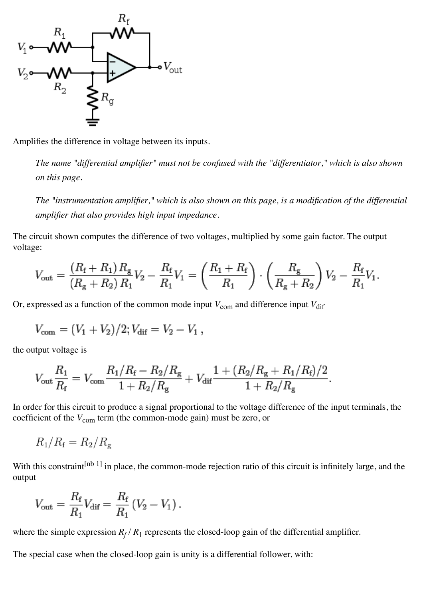

Amplifies the difference in voltage between its inputs.

*The name "differential amplifier" must not be confused with the ["differentiator,](http://en.wikipedia.org/wiki/Operational_amplifier_applications#Inverting_differentiator)" which is also shown on this page.*

*The ["instrumentation amplifier,](http://en.wikipedia.org/wiki/Operational_amplifier_applications#Instrumentation_amplifier)" which is also shown on this page, is a modification of the differential amplifier that also provides high [input impedance.](http://en.wikipedia.org/wiki/Input_impedance)*

The circuit shown computes the [difference](http://en.wikipedia.org/wiki/Subtraction) of two voltages, multiplied by some gain factor. The output voltage:

$$
V_{\text{out}} = \frac{(R_{\text{f}} + R_1) R_{\text{g}}}{(R_{\text{g}} + R_2) R_1} V_2 - \frac{R_{\text{f}}}{R_1} V_1 = \left(\frac{R_1 + R_{\text{f}}}{R_1}\right) \cdot \left(\frac{R_{\text{g}}}{R_{\text{g}} + R_2}\right) V_2 - \frac{R_{\text{f}}}{R_1} V_1.
$$

Or, expressed as a function of the common mode input  $V_{\text{com}}$  and difference input  $V_{\text{dif}}$ 

$$
V_{\text{com}} = (V_1 + V_2)/2; V_{\text{dif}} = V_2 - V_1,
$$

the output voltage is

$$
V_{\text{out}}\frac{R_1}{R_{\text{f}}} = V_{\text{com}}\frac{R_1/R_{\text{f}} - R_2/R_{\text{g}}}{1 + R_2/R_{\text{g}}} + V_{\text{dif}}\frac{1 + (R_2/R_{\text{g}} + R_1/R_{\text{f}})/2}{1 + R_2/R_{\text{g}}}.
$$

In order for this circuit to produce a signal proportional to the voltage difference of the input terminals, the coefficient of the  $V_{\text{com}}$  term (the common-mode gain) must be zero, or

$$
R_1/R_{\rm f} = R_2/R_{\rm g}
$$

With this constraint<sup>[\[nb 1\]](http://en.wikipedia.org/wiki/Operational_amplifier_applications#cite_note-2)</sup> in place, the [common-mode rejection ratio](http://en.wikipedia.org/wiki/Common-mode_rejection_ratio) of this circuit is infinitely large, and the output

$$
V_{\text{out}} = \frac{R_{\text{f}}}{R_1} V_{\text{dif}} = \frac{R_{\text{f}}}{R_1} (V_2 - V_1) \,.
$$

where the simple expression  $R_f/R_1$  represents the closed-loop gain of the differential amplifier.

The special case when the closed-loop gain is unity is a differential follower, with: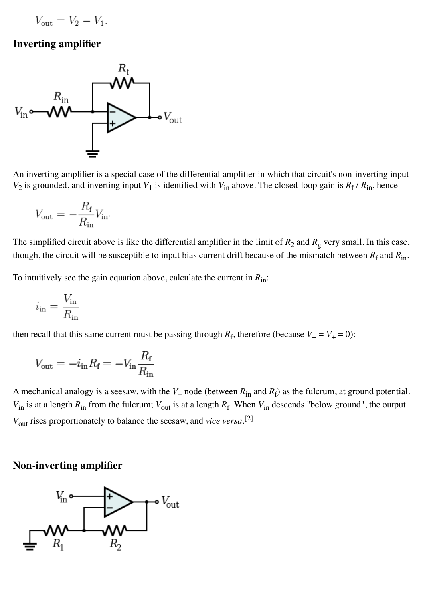$$
V_{\rm out} = V_2 - V_1.
$$

#### **Inverting amplifier**



An inverting amplifier is a special case of the [differential amplifier](http://en.wikipedia.org/wiki/Operational_amplifier_applications#Differential_amplifier) in which that circuit's non-inverting input  $V_2$  is grounded, and inverting input  $V_1$  is identified with  $V_{in}$  above. The closed-loop gain is  $R_f / R_{in}$ , hence

$$
V_{\text{out}} = -\frac{R_{\text{f}}}{R_{\text{in}}}V_{\text{in}}.
$$

The simplified circuit above is like the differential amplifier in the limit of  $R_2$  and  $R_g$  very small. In this case, though, the circuit will be susceptible to input bias current drift because of the mismatch between  $R_f$  and  $R_{in}$ .

To intuitively see the gain equation above, calculate the current in  $R_{\text{in}}$ :

$$
i_{\rm in} = \frac{V_{\rm in}}{R_{\rm in}}
$$

then recall that this same current must be passing through  $R_f$ , therefore (because  $V = V_+ = 0$ ):

$$
V_{\text{out}} = -i_{\text{in}}R_{\text{f}} = -V_{\text{in}}\frac{R_{\text{f}}}{R_{\text{in}}}
$$

A mechanical analogy is a seesaw, with the *V*− node (between *R*in and *R*f) as the fulcrum, at ground potential.  $V_{in}$  is at a length  $R_{in}$  from the fulcrum;  $V_{out}$  is at a length  $R_f$ . When  $V_{in}$  descends "below ground", the output *V*out rises proportionately to balance the seesaw, and *vice versa*. [\[2\]](http://en.wikipedia.org/wiki/Operational_amplifier_applications#cite_note-3)

#### **Non-inverting amplifier**

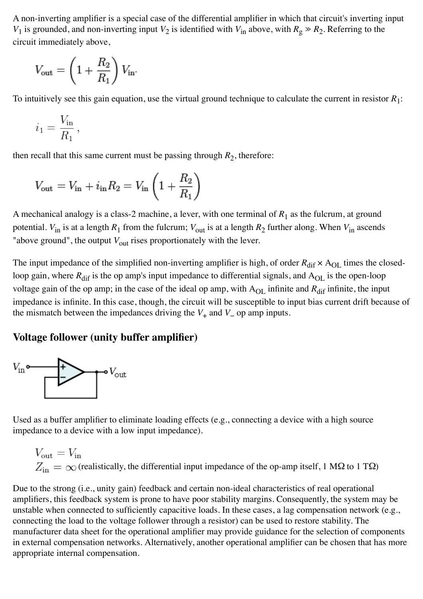A non-inverting amplifier is a special case of the [differential amplifier](http://en.wikipedia.org/wiki/Operational_amplifier_applications#Differential_amplifier) in which that circuit's inverting input *V*<sub>1</sub> is grounded, and non-inverting input *V*<sub>2</sub> is identified with *V*<sub>in</sub> above, with  $R_g \gg R_2$ . Referring to the circuit immediately above,

$$
V_{\rm out} = \left(1 + \frac{R_2}{R_1}\right) V_{\rm in}
$$

To intuitively see this gain equation, use the virtual ground technique to calculate the current in resistor *R*1:

$$
i_1 = \frac{V_{\text{in}}}{R_1},
$$

then recall that this same current must be passing through  $R_2$ , therefore:

$$
V_{\text{out}} = V_{\text{in}} + i_{\text{in}} R_2 = V_{\text{in}} \left( 1 + \frac{R_2}{R_1} \right)
$$

A mechanical analogy is a class-2 machine, a lever, with one terminal of  $R_1$  as the fulcrum, at ground potential.  $V_{in}$  is at a length  $R_1$  from the fulcrum;  $V_{out}$  is at a length  $R_2$  further along. When  $V_{in}$  ascends "above ground", the output  $V_{\text{out}}$  rises proportionately with the lever.

The input impedance of the simplified non-inverting amplifier is high, of order  $R_{\text{dif}} \times A_{\text{OL}}$  times the closedloop gain, where  $R_{\text{dif}}$  is the op amp's input impedance to differential signals, and  $A_{\text{OL}}$  is the open-loop voltage gain of the op amp; in the case of the ideal op amp, with  $A_{OL}$  infinite and  $R_{dif}$  infinite, the input impedance is infinite. In this case, though, the circuit will be susceptible to input bias current drift because of the mismatch between the impedances driving the  $V_+$  and  $V_-$  op amp inputs.

#### **Voltage follower (unity buffer amplifier)**



[Used as a](http://en.wikipedia.org/wiki/Source_impedance) [buffer amplifier](http://en.wikipedia.org/wiki/Buffer_amplifier) [to eliminate loading effects \(e.g., connecting a device with a high source](http://en.wikipedia.org/wiki/Source_impedance) impedance to a device with a low [input impedance\)](http://en.wikipedia.org/wiki/Input_impedance).

$$
V_{\text{out}} = V_{\text{in}}
$$
  

$$
Z_{\text{in}} = \infty
$$
 (realistically, the differential input impedance of the op-amp itself, 1 MΩ to 1 TΩ)

Due to the strong (i.e., [unity](http://en.wikipedia.org/wiki/Unity_(mathematics)) gain) feedback and certain non-ideal characteristics of real operational amplifiers, this feedback system is prone to have poor [stability margins.](http://en.wikipedia.org/wiki/Phase_margin) Consequently, the system may be [unstable](http://en.wikipedia.org/wiki/BIBO_stability) when connected to sufficiently capacitive loads. In these cases, a [lag compensation](http://en.wikipedia.org/wiki/Frequency_compensation) network (e.g., connecting the load to the voltage follower through a resistor) can be used to restore stability. The manufacturer [data sheet](http://en.wikipedia.org/wiki/Data_sheet) for the operational amplifier may provide guidance for the selection of components in external compensation networks. Alternatively, another operational amplifier can be chosen that has more appropriate internal compensation.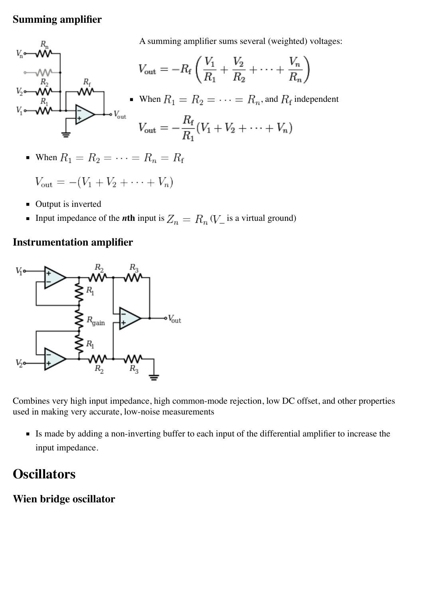#### **Summing amplifier**

A summing amplifier sums several (weighted) voltages:



When  $R_1 = R_2 = \cdots = R_n = R_f$ 

$$
V_{\rm out} = -(V_1 + V_2 + \cdots + V_n)
$$

- Output is inverted
- Input impedance of the *n***th** input is  $Z_n = R_n (V_{\perp})$  is a [virtual ground\)](http://en.wikipedia.org/wiki/Virtual_ground)

#### **Instrumentation amplifier**



Combines very high [input impedance](http://en.wikipedia.org/wiki/Input_impedance), high [common-mode rejection,](http://en.wikipedia.org/wiki/Common-mode_rejection) low [DC offset,](http://en.wikipedia.org/wiki/DC_offset) and other properties used in making very accurate, low-noise measurements

Is made by adding a [non-inverting](http://en.wikipedia.org/wiki/Operational_amplifier_applications#Non-inverting_amplifier) [buffer](http://en.wikipedia.org/wiki/Buffer_amplifier) to each input of the [differential amplifier](http://en.wikipedia.org/wiki/Operational_amplifier_applications#Differential_amplifier) to increase the input impedance.

# **Oscillators**

#### **Wien bridge oscillator**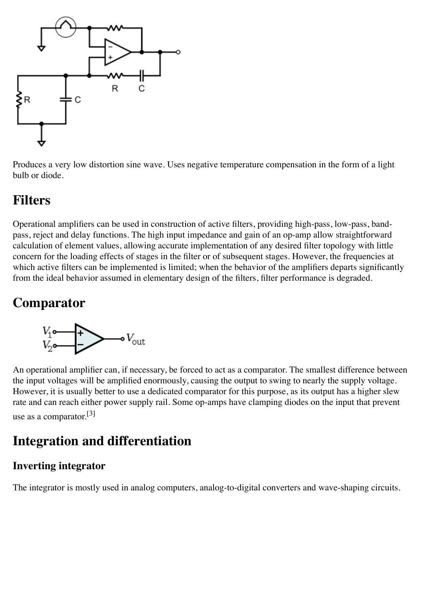

Produces a very low distortion [sine wave.](http://en.wikipedia.org/wiki/Sine_wave) Uses negative temperature compensation in the form of a light bulb or diode.

# **Filters**

Operational amplifiers can be used in construction of [active filters,](http://en.wikipedia.org/wiki/Active_filter) providing high-pass, low-pass, bandpass, reject and delay functions. The high input impedance and gain of an op-amp allow straightforward calculation of element values, allowing accurate implementation of any desired filter topology with little concern for the loading effects of stages in the filter or of subsequent stages. However, the frequencies at which active filters can be implemented is limited; when the behavior of the amplifiers departs significantly from the ideal behavior assumed in elementary design of the filters, filter performance is degraded.

# **Comparator**



An operational amplifier can, if necessary, be forced to act as a comparator. The smallest difference between the input voltages will be amplified enormously, causing the output to swing to nearly the supply voltage. However, it is usually better to use a dedicated comparator for this purpose, as its output has a higher slew rate and can reach either power supply rail. Some op-amps have clamping diodes on the input that prevent use as a comparator.  $[3]$ 

# **Integration and differentiation**

### **Inverting integrator**

The integrator is mostly used in [analog computers,](http://en.wikipedia.org/wiki/Analog_computer) [analog-to-digital converters](http://en.wikipedia.org/wiki/Analog-to-digital_converter) and wave-shaping circuits.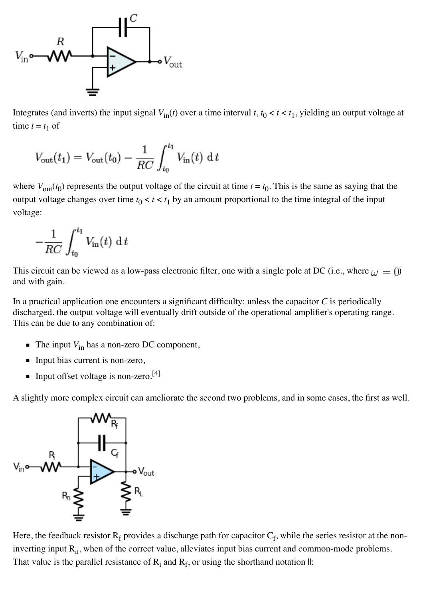

[Integrates](http://en.wikipedia.org/wiki/Integral) (and inverts) the input signal  $V_{in}(t)$  over a time interval  $t, t_0 < t < t_1$ , yielding an output voltage at time  $t = t_1$  of

$$
V_{\text{out}}(t_1) = V_{\text{out}}(t_0) - \frac{1}{RC} \int_{t_0}^{t_1} V_{\text{in}}(t) dt
$$

where  $V_{\text{out}}(t_0)$  represents the output voltage of the circuit at time  $t = t_0$ . This is the same as saying that the output voltage changes over time  $t_0 < t < t_1$  by an amount proportional to the time integral of the input voltage:

$$
-\frac{1}{RC} \int_{t_0}^{t_1} V_{\text{in}}(t) \, \mathrm{d} \, t
$$

This circuit can be viewed as a [low-pass](http://en.wikipedia.org/wiki/Low-pass_filter) [electronic filter,](http://en.wikipedia.org/wiki/Electronic_filter) one with a single [pole](http://en.wikipedia.org/wiki/Complex_pole) at DC (i.e., where  $\omega = 0$ ) and with gain.

In a practical application one encounters a significant difficulty: unless the capacitor *C* is periodically discharged, the output voltage will eventually drift outside of the operational amplifier's operating range. This can be due to any combination of:

- $\blacksquare$  The input  $V_{\text{in}}$  has a non-zero DC component,
- Input bias current is non-zero,
- Input offset voltage is non-zero.<sup>[\[4\]](http://en.wikipedia.org/wiki/Operational_amplifier_applications#cite_note-microchip-opa-dc-5)</sup>

A slightly more complex circuit can ameliorate the second two problems, and in some cases, the first as well.



Here, the feedback resistor  $R_f$  provides a discharge path for capacitor  $C_f$ , while the series resistor at the noninverting input  $R_n$ , when of the correct value, alleviates input bias current and common-mode problems. That value is the parallel resistance of  $R_i$  and  $R_f$ , or using the shorthand notation  $\mathbb{II}$ :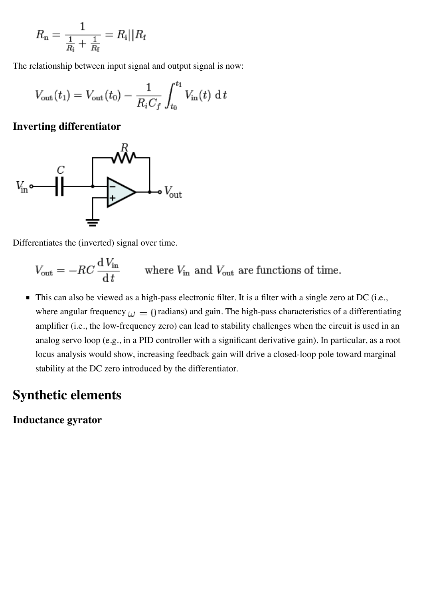$$
R_{\rm n} = \frac{1}{\frac{1}{R_{\rm i}} + \frac{1}{R_{\rm f}}} = R_{\rm i} || R_{\rm f}
$$

The relationship between input signal and output signal is now:

$$
V_{\text{out}}(t_1) = V_{\text{out}}(t_0) - \frac{1}{R_i C_f} \int_{t_0}^{t_1} V_{\text{in}}(t) dt
$$

#### **Inverting differentiator**



[Differentiates](http://en.wikipedia.org/wiki/Derivative) the (inverted) signal over time.

 $V_{\text{out}} = -RC \frac{dV_{\text{in}}}{dt}$  where  $V_{\text{in}}$  and  $V_{\text{out}}$  are functions of time.

This can also be viewed as a [high-pass](http://en.wikipedia.org/wiki/High-pass_filter) [electronic filter.](http://en.wikipedia.org/wiki/Electronic_filter) It is a filter with a single [zero](http://en.wikipedia.org/wiki/Complex_zero) at DC (i.e., where [angular frequency](http://en.wikipedia.org/wiki/Angular_frequency)  $\omega = 0$  radians) and gain. The high-pass characteristics of a differentiating amplifier (i.e., the low-frequency zero) can lead to stability challenges when the circuit is used in an [analog servo loop \(e.g., in a](http://en.wikipedia.org/wiki/Root_locus) [PID controlle](http://en.wikipedia.org/wiki/PID_controller)[r with a significant derivative gain\). In particular, as a root](http://en.wikipedia.org/wiki/Root_locus) locus analysis would show, increasing feedback gain will drive a closed-loop pole toward marginal stability at the DC zero introduced by the differentiator.

### **Synthetic elements**

#### **Inductance gyrator**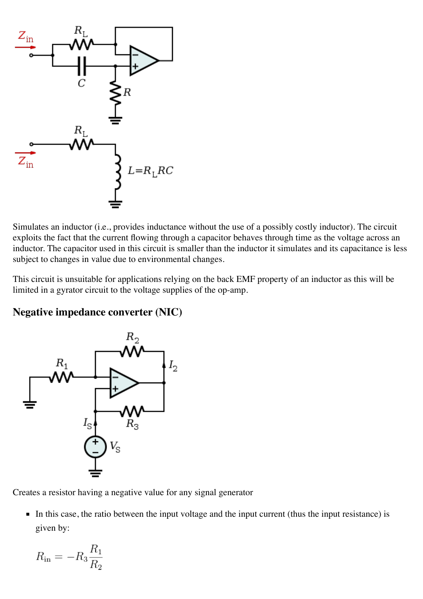

Simulates an [inductor](http://en.wikipedia.org/wiki/Inductor) (i.e., provides [inductance](http://en.wikipedia.org/wiki/Inductance) without the use of a possibly costly inductor). The circuit exploits the fact that the current flowing through a capacitor behaves through time as the voltage across an inductor. The capacitor used in this circuit is smaller than the inductor it simulates and its capacitance is less subject to changes in value due to environmental changes.

This circuit is unsuitable for applications relying on the [back EMF](http://en.wikipedia.org/wiki/Back_EMF) property of an inductor as this will be limited in a gyrator circuit to the voltage supplies of the op-amp.

#### **Negative impedance converter (NIC)**



Creates a [resistor](http://en.wikipedia.org/wiki/Resistor) having a negative value for any signal generator

In this case, the ratio between the input voltage and the input current (thus the input resistance) is given by:

$$
R_{\rm in} = -R_3 \frac{R_1}{R_2}
$$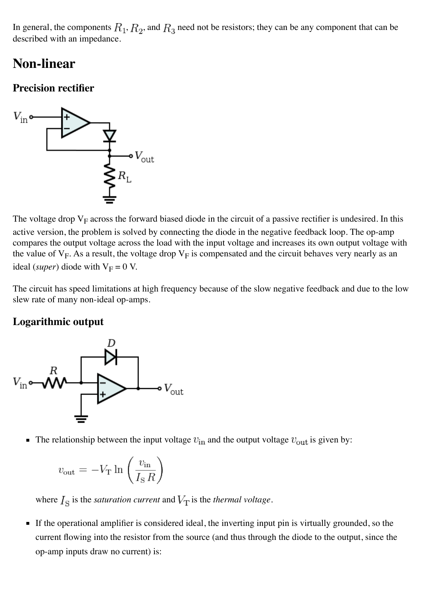In general, the components  $R_1, R_2$ , and  $R_3$  need not be resistors; they can be any component that can be described with an [impedance.](http://en.wikipedia.org/wiki/Electrical_impedance)

### **Non-linear**

### **Precision rectifier**



The voltage drop  $V_F$  across the forward biased diode in the circuit of a passive rectifier is undesired. In this active version, the problem is solved by connecting the diode in the negative feedback loop. The op-amp compares the output voltage across the load with the input voltage and increases its own output voltage with the value of  $V_F$ . As a result, the voltage drop  $V_F$  is compensated and the circuit behaves very nearly as an ideal (*super*) [diode](http://en.wikipedia.org/wiki/Diode) with  $V_F = 0$  V.

The circuit has speed limitations at high frequency because of the slow negative feedback and due to the low slew rate of many non-ideal op-amps.

### **Logarithmic output**



The relationship between the input voltage  $v_{\text{in}}$  and the output voltage  $v_{\text{out}}$  is given by:

$$
v_{\text{out}} = -V_{\text{T}} \ln \left( \frac{v_{\text{in}}}{I_{\text{S}} R} \right)
$$

where  $I_{\rm S}$  is the *saturation current* and  $V_{\rm T}$  is the *thermal voltage*.

If the operational amplifier is considered ideal, the inverting input pin is virtually grounded, so the current flowing into the resistor from the source (and thus through the diode to the output, since the op-amp inputs draw no current) is: